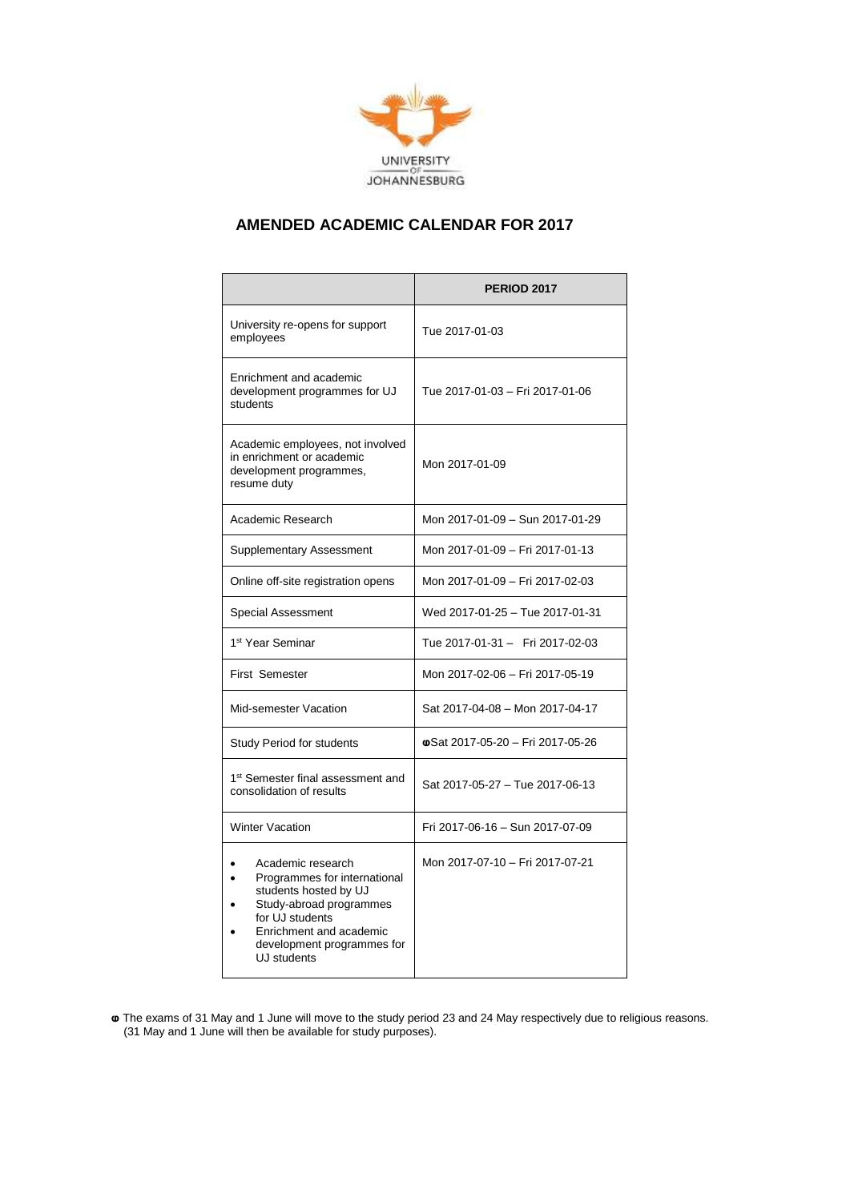

## **AMENDED ACADEMIC CALENDAR FOR 2017**

|                                                                                                                                                                                                  | <b>PERIOD 2017</b>               |
|--------------------------------------------------------------------------------------------------------------------------------------------------------------------------------------------------|----------------------------------|
| University re-opens for support<br>employees                                                                                                                                                     | Tue 2017-01-03                   |
| Enrichment and academic<br>development programmes for UJ<br>students                                                                                                                             | Tue 2017-01-03 - Fri 2017-01-06  |
| Academic employees, not involved<br>in enrichment or academic<br>development programmes,<br>resume duty                                                                                          | Mon 2017-01-09                   |
| Academic Research                                                                                                                                                                                | Mon 2017-01-09 - Sun 2017-01-29  |
| <b>Supplementary Assessment</b>                                                                                                                                                                  | Mon 2017-01-09 - Fri 2017-01-13  |
| Online off-site registration opens                                                                                                                                                               | Mon 2017-01-09 - Fri 2017-02-03  |
| <b>Special Assessment</b>                                                                                                                                                                        | Wed 2017-01-25 - Tue 2017-01-31  |
| 1 <sup>st</sup> Year Seminar                                                                                                                                                                     | Tue 2017-01-31 - Fri 2017-02-03  |
| <b>First Semester</b>                                                                                                                                                                            | Mon 2017-02-06 - Fri 2017-05-19  |
| Mid-semester Vacation                                                                                                                                                                            | Sat 2017-04-08 - Mon 2017-04-17  |
| <b>Study Period for students</b>                                                                                                                                                                 | @Sat 2017-05-20 - Fri 2017-05-26 |
| 1 <sup>st</sup> Semester final assessment and<br>consolidation of results                                                                                                                        | Sat 2017-05-27 - Tue 2017-06-13  |
| <b>Winter Vacation</b>                                                                                                                                                                           | Fri 2017-06-16 - Sun 2017-07-09  |
| Academic research<br>Programmes for international<br>students hosted by UJ<br>Study-abroad programmes<br>for UJ students<br>Enrichment and academic<br>development programmes for<br>UJ students | Mon 2017-07-10 - Fri 2017-07-21  |

**ⱷ** The exams of 31 May and 1 June will move to the study period 23 and 24 May respectively due to religious reasons. (31 May and 1 June will then be available for study purposes).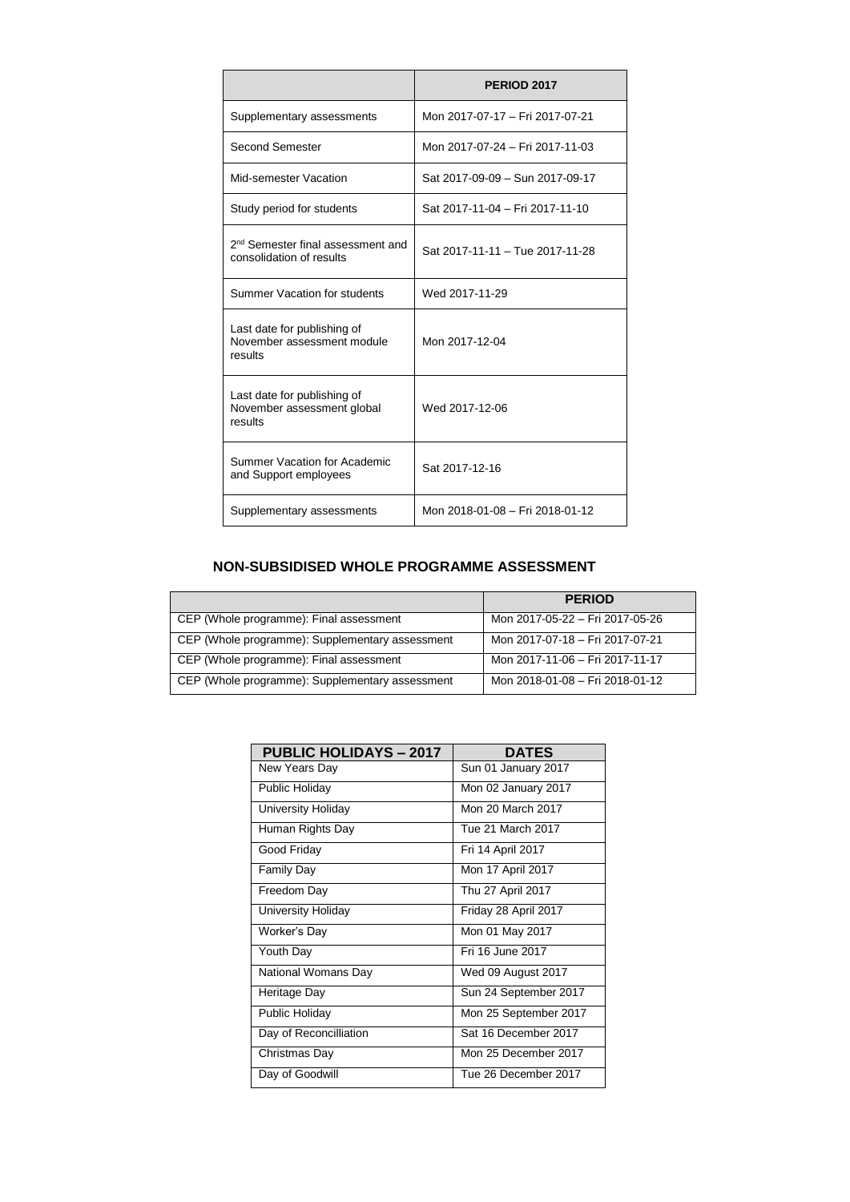|                                                                           | <b>PERIOD 2017</b>              |
|---------------------------------------------------------------------------|---------------------------------|
| Supplementary assessments                                                 | Mon 2017-07-17 - Fri 2017-07-21 |
| Second Semester                                                           | Mon 2017-07-24 - Fri 2017-11-03 |
| Mid-semester Vacation                                                     | Sat 2017-09-09 - Sun 2017-09-17 |
| Study period for students                                                 | Sat 2017-11-04 - Fri 2017-11-10 |
| 2 <sup>nd</sup> Semester final assessment and<br>consolidation of results | Sat 2017-11-11 - Tue 2017-11-28 |
| Summer Vacation for students                                              | Wed 2017-11-29                  |
| Last date for publishing of<br>November assessment module<br>results      | Mon 2017-12-04                  |
| Last date for publishing of<br>November assessment global<br>results      | Wed 2017-12-06                  |
| Summer Vacation for Academic<br>and Support employees                     | Sat 2017-12-16                  |
| Supplementary assessments                                                 | Mon 2018-01-08 - Fri 2018-01-12 |

## **NON-SUBSIDISED WHOLE PROGRAMME ASSESSMENT**

|                                                 | <b>PERIOD</b>                   |
|-------------------------------------------------|---------------------------------|
| CEP (Whole programme): Final assessment         | Mon 2017-05-22 - Fri 2017-05-26 |
| CEP (Whole programme): Supplementary assessment | Mon 2017-07-18 - Fri 2017-07-21 |
| CEP (Whole programme): Final assessment         | Mon 2017-11-06 - Fri 2017-11-17 |
| CEP (Whole programme): Supplementary assessment | Mon 2018-01-08 - Fri 2018-01-12 |

| <b>PUBLIC HOLIDAYS - 2017</b> | <b>DATES</b>          |
|-------------------------------|-----------------------|
| New Years Day                 | Sun 01 January 2017   |
| Public Holiday                | Mon 02 January 2017   |
| University Holiday            | Mon 20 March 2017     |
| Human Rights Day              | Tue 21 March 2017     |
| Good Friday                   | Fri 14 April 2017     |
| <b>Family Day</b>             | Mon 17 April 2017     |
| Freedom Day                   | Thu 27 April 2017     |
| University Holiday            | Friday 28 April 2017  |
| Worker's Day                  | Mon 01 May 2017       |
| Youth Day                     | Fri 16 June 2017      |
| National Womans Day           | Wed 09 August 2017    |
| Heritage Day                  | Sun 24 September 2017 |
| Public Holiday                | Mon 25 September 2017 |
| Day of Reconcilliation        | Sat 16 December 2017  |
| Christmas Day                 | Mon 25 December 2017  |
| Day of Goodwill               | Tue 26 December 2017  |